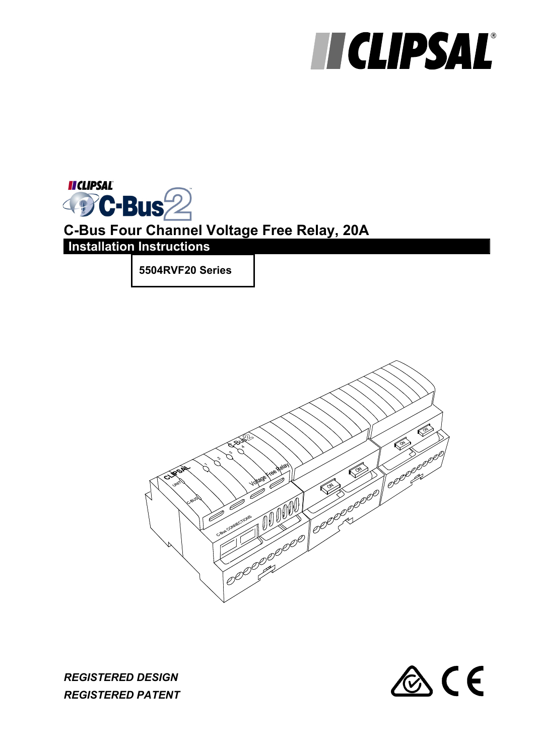# **HICLIPSAL®**

**II CLIPSAL DC-Bus22 C-Bus Four Channel Voltage Free Relay, 20A Installation Instructions**

**5504RVF20 Series** 





*REGISTERED DESIGN REGISTERED PATENT*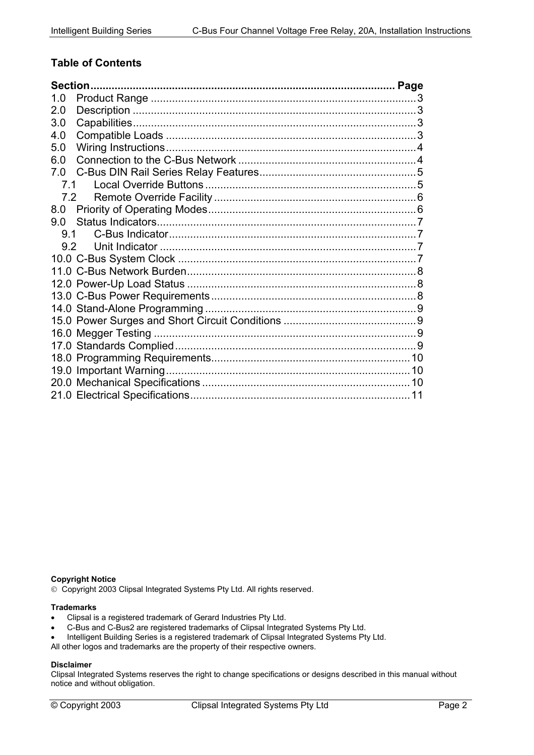#### **Table of Contents**

| 1.0 |  |
|-----|--|
| 2.0 |  |
| 3.0 |  |
| 4.0 |  |
| 5.0 |  |
| 6.0 |  |
| 7.0 |  |
| 7.1 |  |
| 7.2 |  |
| 8.0 |  |
| 9.0 |  |
|     |  |
| 9.2 |  |
|     |  |
|     |  |
|     |  |
|     |  |
|     |  |
|     |  |
|     |  |
|     |  |
|     |  |
|     |  |
|     |  |
|     |  |

#### **Copyright Notice**

Copyright 2003 Clipsal Integrated Systems Pty Ltd. All rights reserved.

#### **Trademarks**

- Clipsal is a registered trademark of Gerard Industries Pty Ltd.
- C-Bus and C-Bus2 are registered trademarks of Clipsal Integrated Systems Pty Ltd.
- Intelligent Building Series is a registered trademark of Clipsal Integrated Systems Pty Ltd.

All other logos and trademarks are the property of their respective owners.

#### **Disclaimer**

Clipsal Integrated Systems reserves the right to change specifications or designs described in this manual without notice and without obligation.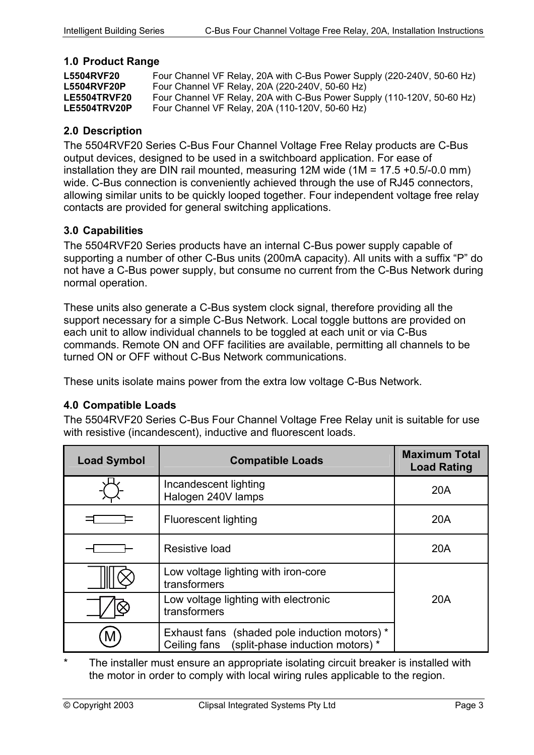#### <span id="page-2-0"></span>**1.0 Product Range**

| <b>L5504RVF20</b>   | Four Channel VF Relay, 20A with C-Bus Power Supply (220-240V, 50-60 Hz) |
|---------------------|-------------------------------------------------------------------------|
| <b>L5504RVF20P</b>  | Four Channel VF Relay, 20A (220-240V, 50-60 Hz)                         |
| <b>LE5504TRVF20</b> | Four Channel VF Relay, 20A with C-Bus Power Supply (110-120V, 50-60 Hz) |
| LE5504TRV20P        | Four Channel VF Relay, 20A (110-120V, 50-60 Hz)                         |

#### **2.0 Description**

The 5504RVF20 Series C-Bus Four Channel Voltage Free Relay products are C-Bus output devices, designed to be used in a switchboard application. For ease of installation they are DIN rail mounted, measuring 12M wide (1M = 17.5 +0.5/-0.0 mm) wide. C-Bus connection is conveniently achieved through the use of RJ45 connectors, allowing similar units to be quickly looped together. Four independent voltage free relay contacts are provided for general switching applications.

#### **3.0 Capabilities**

The 5504RVF20 Series products have an internal C-Bus power supply capable of supporting a number of other C-Bus units (200mA capacity). All units with a suffix "P" do not have a C-Bus power supply, but consume no current from the C-Bus Network during normal operation.

These units also generate a C-Bus system clock signal, therefore providing all the support necessary for a simple C-Bus Network. Local toggle buttons are provided on each unit to allow individual channels to be toggled at each unit or via C-Bus commands. Remote ON and OFF facilities are available, permitting all channels to be turned ON or OFF without C-Bus Network communications.

These units isolate mains power from the extra low voltage C-Bus Network.

#### **4.0 Compatible Loads**

The 5504RVF20 Series C-Bus Four Channel Voltage Free Relay unit is suitable for use with resistive (incandescent), inductive and fluorescent loads.

| <b>Load Symbol</b> | <b>Compatible Loads</b>                                                                        | <b>Maximum Total</b><br><b>Load Rating</b> |
|--------------------|------------------------------------------------------------------------------------------------|--------------------------------------------|
|                    | Incandescent lighting<br>Halogen 240V lamps                                                    | 20A                                        |
|                    | Fluorescent lighting                                                                           | 20A                                        |
|                    | Resistive load                                                                                 | <b>20A</b>                                 |
|                    | Low voltage lighting with iron-core<br>transformers                                            |                                            |
|                    | Low voltage lighting with electronic<br>transformers                                           | 20A                                        |
|                    | Exhaust fans (shaded pole induction motors) *<br>Ceiling fans (split-phase induction motors) * |                                            |

The installer must ensure an appropriate isolating circuit breaker is installed with the motor in order to comply with local wiring rules applicable to the region.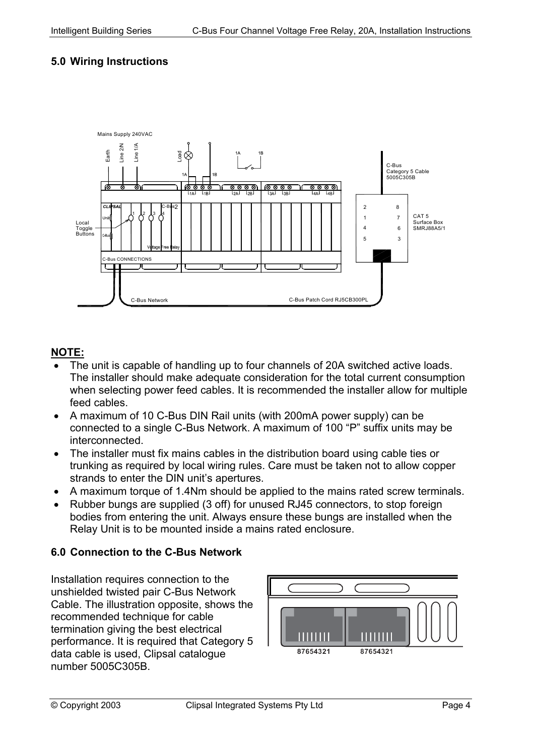## <span id="page-3-0"></span>**5.0 Wiring Instructions**



#### **NOTE:**

- The unit is capable of handling up to four channels of 20A switched active loads. The installer should make adequate consideration for the total current consumption when selecting power feed cables. It is recommended the installer allow for multiple feed cables.
- A maximum of 10 C-Bus DIN Rail units (with 200mA power supply) can be connected to a single C-Bus Network. A maximum of 100 "P" suffix units may be interconnected.
- The installer must fix mains cables in the distribution board using cable ties or trunking as required by local wiring rules. Care must be taken not to allow copper strands to enter the DIN unit's apertures.
- A maximum torque of 1.4Nm should be applied to the mains rated screw terminals.
- Rubber bungs are supplied (3 off) for unused RJ45 connectors, to stop foreign bodies from entering the unit. Always ensure these bungs are installed when the Relay Unit is to be mounted inside a mains rated enclosure.

#### **6.0 Connection to the C-Bus Network**

Installation requires connection to the unshielded twisted pair C-Bus Network Cable. The illustration opposite, shows the recommended technique for cable termination giving the best electrical performance. It is required that Category 5 data cable is used, Clipsal catalogue number 5005C305B.

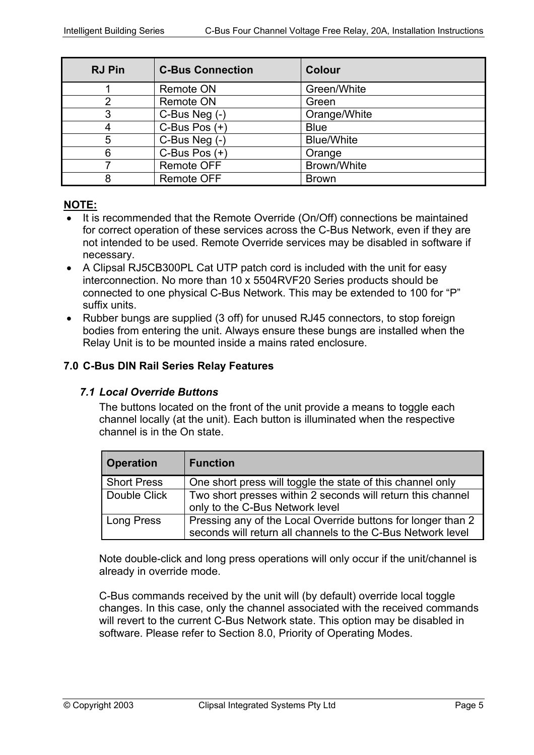<span id="page-4-0"></span>

| <b>RJ Pin</b> | <b>C-Bus Connection</b> | <b>Colour</b>     |
|---------------|-------------------------|-------------------|
|               | <b>Remote ON</b>        | Green/White       |
|               | <b>Remote ON</b>        | Green             |
|               | C-Bus Neg (-)           | Orange/White      |
|               | C-Bus Pos $(+)$         | <b>Blue</b>       |
| 5             | C-Bus Neg (-)           | <b>Blue/White</b> |
| 6             | C-Bus Pos $(+)$         | Orange            |
|               | Remote OFF              | Brown/White       |
|               | <b>Remote OFF</b>       | <b>Brown</b>      |

#### **NOTE:**

- It is recommended that the Remote Override (On/Off) connections be maintained for correct operation of these services across the C-Bus Network, even if they are not intended to be used. Remote Override services may be disabled in software if necessary.
- A Clipsal RJ5CB300PL Cat UTP patch cord is included with the unit for easy interconnection. No more than 10 x 5504RVF20 Series products should be connected to one physical C-Bus Network. This may be extended to 100 for "P" suffix units.
- Rubber bungs are supplied (3 off) for unused RJ45 connectors, to stop foreign bodies from entering the unit. Always ensure these bungs are installed when the Relay Unit is to be mounted inside a mains rated enclosure.

#### **7.0 C-Bus DIN Rail Series Relay Features**

#### *7.1 Local Override Buttons*

The buttons located on the front of the unit provide a means to toggle each channel locally (at the unit). Each button is illuminated when the respective channel is in the On state.

| <b>Operation</b>   | <b>Function</b>                                                                                                             |
|--------------------|-----------------------------------------------------------------------------------------------------------------------------|
| <b>Short Press</b> | One short press will toggle the state of this channel only                                                                  |
| Double Click       | Two short presses within 2 seconds will return this channel<br>only to the C-Bus Network level                              |
| Long Press         | Pressing any of the Local Override buttons for longer than 2<br>seconds will return all channels to the C-Bus Network level |

Note double-click and long press operations will only occur if the unit/channel is already in override mode.

C-Bus commands received by the unit will (by default) override local toggle changes. In this case, only the channel associated with the received commands will revert to the current C-Bus Network state. This option may be disabled in software. Please refer to Section 8.0, Priority of Operating Modes.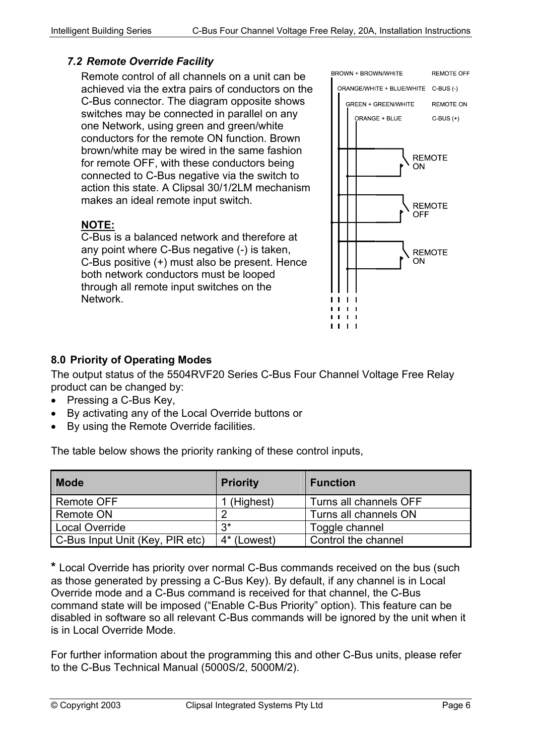#### <span id="page-5-0"></span>*7.2 Remote Override Facility*

Remote control of all channels on a unit can be achieved via the extra pairs of conductors on the C-Bus connector. The diagram opposite shows switches may be connected in parallel on any one Network, using green and green/white conductors for the remote ON function. Brown brown/white may be wired in the same fashion for remote OFF, with these conductors being connected to C-Bus negative via the switch to action this state. A Clipsal 30/1/2LM mechanism makes an ideal remote input switch.

#### **NOTE:**

C-Bus is a balanced network and therefore at any point where C-Bus negative (-) is taken, C-Bus positive (+) must also be present. Hence both network conductors must be looped through all remote input switches on the Network.



#### **8.0 Priority of Operating Modes**

The output status of the 5504RVF20 Series C-Bus Four Channel Voltage Free Relay product can be changed by:

- Pressing a C-Bus Key,
- By activating any of the Local Override buttons or
- By using the Remote Override facilities.

The table below shows the priority ranking of these control inputs,

| <b>Mode</b>                     | <b>Priority</b> | <b>Function</b>        |
|---------------------------------|-----------------|------------------------|
| Remote OFF                      | 1 (Highest)     | Turns all channels OFF |
| Remote ON                       | റ               | Turns all channels ON  |
| Local Override                  | ?∗              | Toggle channel         |
| C-Bus Input Unit (Key, PIR etc) | 4* (Lowest)     | Control the channel    |

**\*** Local Override has priority over normal C-Bus commands received on the bus (such as those generated by pressing a C-Bus Key). By default, if any channel is in Local Override mode and a C-Bus command is received for that channel, the C-Bus command state will be imposed ("Enable C-Bus Priority" option). This feature can be disabled in software so all relevant C-Bus commands will be ignored by the unit when it is in Local Override Mode.

For further information about the programming this and other C-Bus units, please refer to the C-Bus Technical Manual (5000S/2, 5000M/2).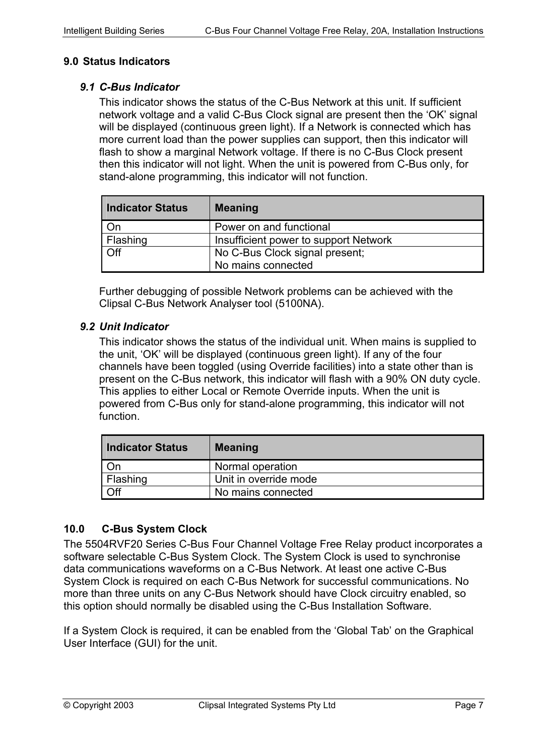#### <span id="page-6-0"></span>**9.0 Status Indicators**

#### *9.1 C-Bus Indicator*

This indicator shows the status of the C-Bus Network at this unit. If sufficient network voltage and a valid C-Bus Clock signal are present then the 'OK' signal will be displayed (continuous green light). If a Network is connected which has more current load than the power supplies can support, then this indicator will flash to show a marginal Network voltage. If there is no C-Bus Clock present then this indicator will not light. When the unit is powered from C-Bus only, for stand-alone programming, this indicator will not function.

| <b>Indicator Status</b> | <b>Meaning</b>                        |
|-------------------------|---------------------------------------|
| On                      | Power on and functional               |
| Flashing                | Insufficient power to support Network |
| <b>Off</b>              | No C-Bus Clock signal present;        |
|                         | No mains connected                    |

Further debugging of possible Network problems can be achieved with the Clipsal C-Bus Network Analyser tool (5100NA).

#### *9.2 Unit Indicator*

This indicator shows the status of the individual unit. When mains is supplied to the unit, 'OK' will be displayed (continuous green light). If any of the four channels have been toggled (using Override facilities) into a state other than is present on the C-Bus network, this indicator will flash with a 90% ON duty cycle. This applies to either Local or Remote Override inputs. When the unit is powered from C-Bus only for stand-alone programming, this indicator will not function.

| <b>Indicator Status</b> | <b>Meaning</b>        |
|-------------------------|-----------------------|
|                         | Normal operation      |
| Flashing                | Unit in override mode |
| Off                     | No mains connected    |

#### **10.0 C-Bus System Clock**

The 5504RVF20 Series C-Bus Four Channel Voltage Free Relay product incorporates a software selectable C-Bus System Clock. The System Clock is used to synchronise data communications waveforms on a C-Bus Network. At least one active C-Bus System Clock is required on each C-Bus Network for successful communications. No more than three units on any C-Bus Network should have Clock circuitry enabled, so this option should normally be disabled using the C-Bus Installation Software.

If a System Clock is required, it can be enabled from the 'Global Tab' on the Graphical User Interface (GUI) for the unit.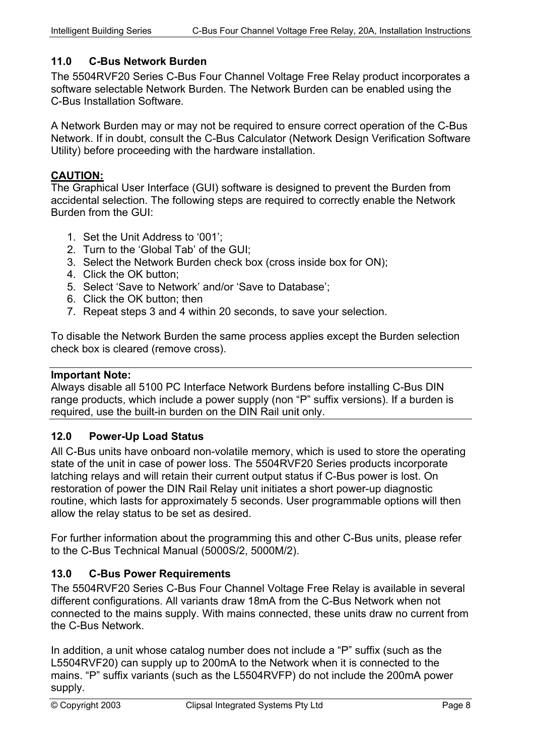## <span id="page-7-0"></span>**11.0 C-Bus Network Burden**

The 5504RVF20 Series C-Bus Four Channel Voltage Free Relay product incorporates a software selectable Network Burden. The Network Burden can be enabled using the C-Bus Installation Software.

A Network Burden may or may not be required to ensure correct operation of the C-Bus Network. If in doubt, consult the C-Bus Calculator (Network Design Verification Software Utility) before proceeding with the hardware installation.

#### **CAUTION:**

The Graphical User Interface (GUI) software is designed to prevent the Burden from accidental selection. The following steps are required to correctly enable the Network Burden from the GUI:

- 1. Set the Unit Address to '001';
- 2. Turn to the 'Global Tab' of the GUI;
- 3. Select the Network Burden check box (cross inside box for ON);
- 4. Click the OK button;
- 5. Select 'Save to Network' and/or 'Save to Database';
- 6. Click the OK button; then
- 7. Repeat steps 3 and 4 within 20 seconds, to save your selection.

To disable the Network Burden the same process applies except the Burden selection check box is cleared (remove cross).

#### **Important Note:**

Always disable all 5100 PC Interface Network Burdens before installing C-Bus DIN range products, which include a power supply (non "P" suffix versions). If a burden is required, use the built-in burden on the DIN Rail unit only.

#### **12.0 Power-Up Load Status**

All C-Bus units have onboard non-volatile memory, which is used to store the operating state of the unit in case of power loss. The 5504RVF20 Series products incorporate latching relays and will retain their current output status if C-Bus power is lost. On restoration of power the DIN Rail Relay unit initiates a short power-up diagnostic routine, which lasts for approximately 5 seconds. User programmable options will then allow the relay status to be set as desired.

For further information about the programming this and other C-Bus units, please refer to the C-Bus Technical Manual (5000S/2, 5000M/2).

#### **13.0 C-Bus Power Requirements**

The 5504RVF20 Series C-Bus Four Channel Voltage Free Relay is available in several different configurations. All variants draw 18mA from the C-Bus Network when not connected to the mains supply. With mains connected, these units draw no current from the C-Bus Network.

In addition, a unit whose catalog number does not include a "P" suffix (such as the L5504RVF20) can supply up to 200mA to the Network when it is connected to the mains. "P" suffix variants (such as the L5504RVFP) do not include the 200mA power supply.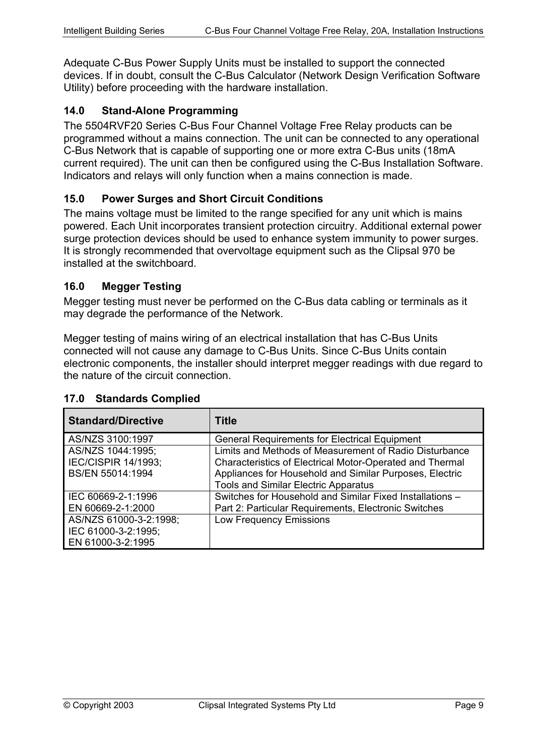<span id="page-8-0"></span>Adequate C-Bus Power Supply Units must be installed to support the connected devices. If in doubt, consult the C-Bus Calculator (Network Design Verification Software Utility) before proceeding with the hardware installation.

#### **14.0 Stand-Alone Programming**

The 5504RVF20 Series C-Bus Four Channel Voltage Free Relay products can be programmed without a mains connection. The unit can be connected to any operational C-Bus Network that is capable of supporting one or more extra C-Bus units (18mA current required). The unit can then be configured using the C-Bus Installation Software. Indicators and relays will only function when a mains connection is made.

## **15.0 Power Surges and Short Circuit Conditions**

The mains voltage must be limited to the range specified for any unit which is mains powered. Each Unit incorporates transient protection circuitry. Additional external power surge protection devices should be used to enhance system immunity to power surges. It is strongly recommended that overvoltage equipment such as the Clipsal 970 be installed at the switchboard.

#### **16.0 Megger Testing**

Megger testing must never be performed on the C-Bus data cabling or terminals as it may degrade the performance of the Network.

Megger testing of mains wiring of an electrical installation that has C-Bus Units connected will not cause any damage to C-Bus Units. Since C-Bus Units contain electronic components, the installer should interpret megger readings with due regard to the nature of the circuit connection.

| <b>Standard/Directive</b>  | Title                                                    |
|----------------------------|----------------------------------------------------------|
| AS/NZS 3100:1997           | <b>General Requirements for Electrical Equipment</b>     |
| AS/NZS 1044:1995;          | Limits and Methods of Measurement of Radio Disturbance   |
| <b>IEC/CISPIR 14/1993;</b> | Characteristics of Electrical Motor-Operated and Thermal |
| BS/EN 55014:1994           | Appliances for Household and Similar Purposes, Electric  |
|                            | <b>Tools and Similar Electric Apparatus</b>              |
| IEC 60669-2-1:1996         | Switches for Household and Similar Fixed Installations - |
| EN 60669-2-1:2000          | Part 2: Particular Requirements, Electronic Switches     |
| AS/NZS 61000-3-2:1998;     | <b>Low Frequency Emissions</b>                           |
| IEC 61000-3-2:1995;        |                                                          |
| EN 61000-3-2:1995          |                                                          |

#### **17.0 Standards Complied**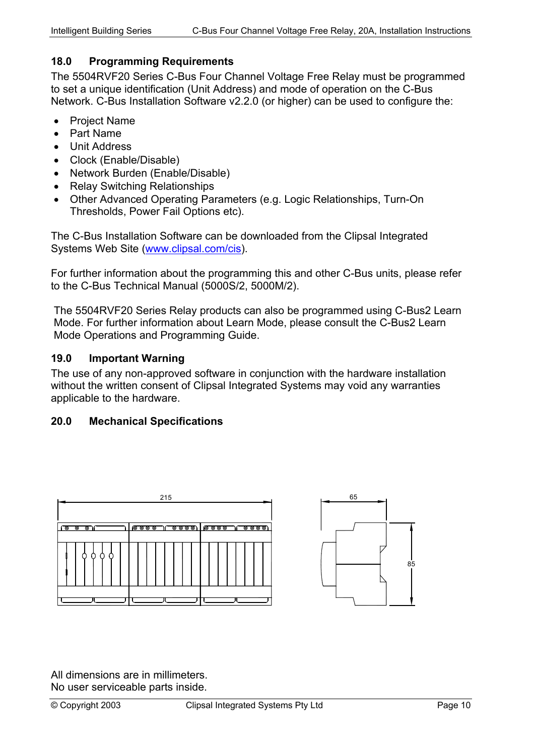## <span id="page-9-0"></span>**18.0 Programming Requirements**

The 5504RVF20 Series C-Bus Four Channel Voltage Free Relay must be programmed to set a unique identification (Unit Address) and mode of operation on the C-Bus Network. C-Bus Installation Software v2.2.0 (or higher) can be used to configure the:

- Project Name
- Part Name
- Unit Address
- Clock (Enable/Disable)
- Network Burden (Enable/Disable)
- Relay Switching Relationships
- Other Advanced Operating Parameters (e.g. Logic Relationships, Turn-On Thresholds, Power Fail Options etc).

The C-Bus Installation Software can be downloaded from the Clipsal Integrated Systems Web Site [\(www.clipsal.com/cis\)](http://www.clipsal.com/cis).

For further information about the programming this and other C-Bus units, please refer to the C-Bus Technical Manual (5000S/2, 5000M/2).

The 5504RVF20 Series Relay products can also be programmed using C-Bus2 Learn Mode. For further information about Learn Mode, please consult the C-Bus2 Learn Mode Operations and Programming Guide.

#### **19.0 Important Warning**

The use of any non-approved software in conjunction with the hardware installation without the written consent of Clipsal Integrated Systems may void any warranties applicable to the hardware.

#### **20.0 Mechanical Specifications**





All dimensions are in millimeters. No user serviceable parts inside.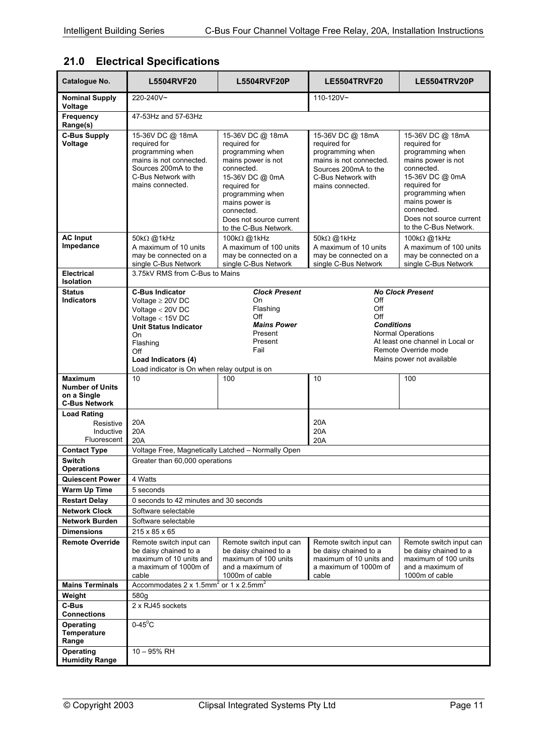## <span id="page-10-0"></span>**21.0 Electrical Specifications**

| Catalogue No.                                                                   | <b>L5504RVF20</b>                                                                                                                                                                                                           | <b>L5504RVF20P</b>                                                                                                                                                                                                                  | <b>LE5504TRVF20</b>                                                                                                                                                                    | <b>LE5504TRV20P</b>                                                                                                                                                                                                                 |
|---------------------------------------------------------------------------------|-----------------------------------------------------------------------------------------------------------------------------------------------------------------------------------------------------------------------------|-------------------------------------------------------------------------------------------------------------------------------------------------------------------------------------------------------------------------------------|----------------------------------------------------------------------------------------------------------------------------------------------------------------------------------------|-------------------------------------------------------------------------------------------------------------------------------------------------------------------------------------------------------------------------------------|
| <b>Nominal Supply</b><br>Voltage                                                | 220-240V~                                                                                                                                                                                                                   |                                                                                                                                                                                                                                     | 110-120V~                                                                                                                                                                              |                                                                                                                                                                                                                                     |
| Frequency<br>Range(s)                                                           | 47-53Hz and 57-63Hz                                                                                                                                                                                                         |                                                                                                                                                                                                                                     |                                                                                                                                                                                        |                                                                                                                                                                                                                                     |
| <b>C-Bus Supply</b><br>Voltage                                                  | 15-36V DC @ 18mA<br>required for<br>programming when<br>mains is not connected.<br>Sources 200mA to the<br>C-Bus Network with<br>mains connected.                                                                           | 15-36V DC @ 18mA<br>required for<br>programming when<br>mains power is not<br>connected.<br>15-36V DC @ 0mA<br>required for<br>programming when<br>mains power is<br>connected.<br>Does not source current<br>to the C-Bus Network. | 15-36V DC @ 18mA<br>required for<br>programming when<br>mains is not connected.<br>Sources 200mA to the<br>C-Bus Network with<br>mains connected.                                      | 15-36V DC @ 18mA<br>required for<br>programming when<br>mains power is not<br>connected.<br>15-36V DC @ 0mA<br>required for<br>programming when<br>mains power is<br>connected.<br>Does not source current<br>to the C-Bus Network. |
| <b>AC Input</b><br>Impedance                                                    | 50kΩ @1kHz<br>A maximum of 10 units<br>may be connected on a<br>single C-Bus Network                                                                                                                                        | 100kΩ @1kHz<br>A maximum of 100 units<br>may be connected on a<br>single C-Bus Network                                                                                                                                              | 50kΩ @1kHz<br>A maximum of 10 units<br>may be connected on a<br>single C-Bus Network                                                                                                   | 100kΩ @1kHz<br>A maximum of 100 units<br>may be connected on a<br>single C-Bus Network                                                                                                                                              |
| <b>Electrical</b><br><b>Isolation</b>                                           | 3.75kV RMS from C-Bus to Mains                                                                                                                                                                                              |                                                                                                                                                                                                                                     |                                                                                                                                                                                        |                                                                                                                                                                                                                                     |
| <b>Status</b><br><b>Indicators</b>                                              | <b>C-Bus Indicator</b><br>Voltage $\geq$ 20V DC<br>Voltage $<$ 20V DC<br>Voltage $<$ 15V DC<br><b>Unit Status Indicator</b><br>On<br>Flashing<br>Off<br>Load Indicators (4)<br>Load indicator is On when relay output is on | <b>Clock Present</b><br>On<br>Flashing<br>Off<br><b>Mains Power</b><br>Present<br>Present<br>Fail                                                                                                                                   | <b>No Clock Present</b><br>Off<br>Off<br>Off<br><b>Conditions</b><br><b>Normal Operations</b><br>At least one channel in Local or<br>Remote Override mode<br>Mains power not available |                                                                                                                                                                                                                                     |
| <b>Maximum</b><br><b>Number of Units</b><br>on a Single<br><b>C-Bus Network</b> | 10                                                                                                                                                                                                                          | 100                                                                                                                                                                                                                                 | 10                                                                                                                                                                                     | 100                                                                                                                                                                                                                                 |
| <b>Load Rating</b><br>Resistive<br>Inductive<br>Fluorescent                     | 20A<br>20A<br>20A                                                                                                                                                                                                           |                                                                                                                                                                                                                                     | 20A<br>20A<br>20A                                                                                                                                                                      |                                                                                                                                                                                                                                     |
| <b>Contact Type</b>                                                             | Voltage Free, Magnetically Latched - Normally Open                                                                                                                                                                          |                                                                                                                                                                                                                                     |                                                                                                                                                                                        |                                                                                                                                                                                                                                     |
| <b>Switch</b><br><b>Operations</b>                                              | Greater than 60,000 operations                                                                                                                                                                                              |                                                                                                                                                                                                                                     |                                                                                                                                                                                        |                                                                                                                                                                                                                                     |
| <b>Quiescent Power</b>                                                          | 4 Watts                                                                                                                                                                                                                     |                                                                                                                                                                                                                                     |                                                                                                                                                                                        |                                                                                                                                                                                                                                     |
| <b>Warm Up Time</b>                                                             | 5 seconds                                                                                                                                                                                                                   |                                                                                                                                                                                                                                     |                                                                                                                                                                                        |                                                                                                                                                                                                                                     |
| <b>Restart Delay</b>                                                            | 0 seconds to 42 minutes and 30 seconds                                                                                                                                                                                      |                                                                                                                                                                                                                                     |                                                                                                                                                                                        |                                                                                                                                                                                                                                     |
| <b>Network Clock</b>                                                            | Software selectable                                                                                                                                                                                                         |                                                                                                                                                                                                                                     |                                                                                                                                                                                        |                                                                                                                                                                                                                                     |
| <b>Network Burden</b>                                                           | Software selectable                                                                                                                                                                                                         |                                                                                                                                                                                                                                     |                                                                                                                                                                                        |                                                                                                                                                                                                                                     |
| <b>Dimensions</b><br><b>Remote Override</b>                                     | 215 x 85 x 65<br>Remote switch input can<br>be daisy chained to a<br>maximum of 10 units and<br>a maximum of 1000m of<br>cable                                                                                              | Remote switch input can<br>be daisy chained to a<br>maximum of 100 units<br>and a maximum of<br>1000m of cable                                                                                                                      | Remote switch input can<br>be daisy chained to a<br>maximum of 10 units and<br>a maximum of 1000m of<br>cable                                                                          | Remote switch input can<br>be daisy chained to a<br>maximum of 100 units<br>and a maximum of<br>1000m of cable                                                                                                                      |
| <b>Mains Terminals</b>                                                          | Accommodates 2 x 1.5mm <sup>2</sup> or 1 x 2.5mm <sup>2</sup>                                                                                                                                                               |                                                                                                                                                                                                                                     |                                                                                                                                                                                        |                                                                                                                                                                                                                                     |
| Weight                                                                          | 580g                                                                                                                                                                                                                        |                                                                                                                                                                                                                                     |                                                                                                                                                                                        |                                                                                                                                                                                                                                     |
| C-Bus<br><b>Connections</b>                                                     | 2 x RJ45 sockets                                                                                                                                                                                                            |                                                                                                                                                                                                                                     |                                                                                                                                                                                        |                                                                                                                                                                                                                                     |
| Operating<br>Temperature<br>Range<br>Operating                                  | $0-45^{\circ}$ C<br>10 - 95% RH                                                                                                                                                                                             |                                                                                                                                                                                                                                     |                                                                                                                                                                                        |                                                                                                                                                                                                                                     |
| <b>Humidity Range</b>                                                           |                                                                                                                                                                                                                             |                                                                                                                                                                                                                                     |                                                                                                                                                                                        |                                                                                                                                                                                                                                     |